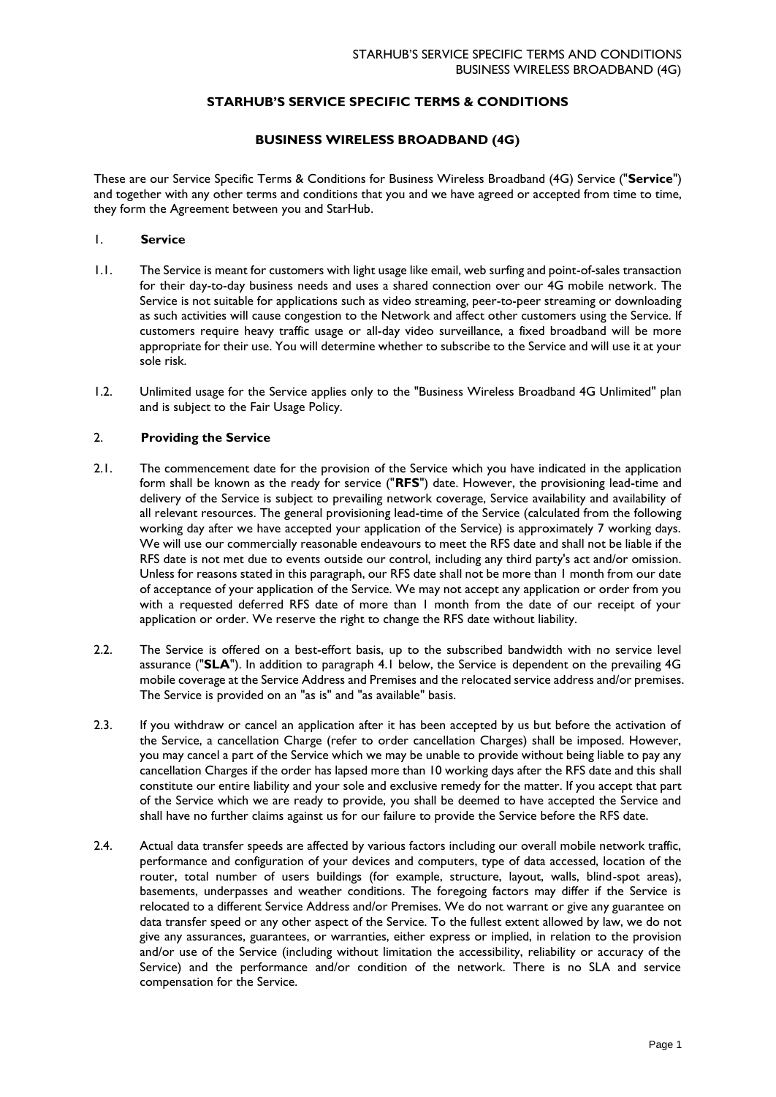## **STARHUB'S SERVICE SPECIFIC TERMS & CONDITIONS**

### **BUSINESS WIRELESS BROADBAND (4G)**

These are our Service Specific Terms & Conditions for Business Wireless Broadband (4G) Service ("**Service**") and together with any other terms and conditions that you and we have agreed or accepted from time to time, they form the Agreement between you and StarHub.

## 1. **Service**

- 1.1. The Service is meant for customers with light usage like email, web surfing and point-of-sales transaction for their day-to-day business needs and uses a shared connection over our 4G mobile network. The Service is not suitable for applications such as video streaming, peer-to-peer streaming or downloading as such activities will cause congestion to the Network and affect other customers using the Service. If customers require heavy traffic usage or all-day video surveillance, a fixed broadband will be more appropriate for their use. You will determine whether to subscribe to the Service and will use it at your sole risk.
- 1.2. Unlimited usage for the Service applies only to the "Business Wireless Broadband 4G Unlimited" plan and is subject to the Fair Usage Policy.

# 2. **Providing the Service**

- 2.1. The commencement date for the provision of the Service which you have indicated in the application form shall be known as the ready for service ("**RFS**") date. However, the provisioning lead-time and delivery of the Service is subject to prevailing network coverage, Service availability and availability of all relevant resources. The general provisioning lead-time of the Service (calculated from the following working day after we have accepted your application of the Service) is approximately 7 working days. We will use our commercially reasonable endeavours to meet the RFS date and shall not be liable if the RFS date is not met due to events outside our control, including any third party's act and/or omission. Unless for reasons stated in this paragraph, our RFS date shall not be more than 1 month from our date of acceptance of your application of the Service. We may not accept any application or order from you with a requested deferred RFS date of more than 1 month from the date of our receipt of your application or order. We reserve the right to change the RFS date without liability.
- 2.2. The Service is offered on a best-effort basis, up to the subscribed bandwidth with no service level assurance ("**SLA**"). In addition to paragraph 4.1 below, the Service is dependent on the prevailing 4G mobile coverage at the Service Address and Premises and the relocated service address and/or premises. The Service is provided on an "as is" and "as available" basis.
- 2.3. If you withdraw or cancel an application after it has been accepted by us but before the activation of the Service, a cancellation Charge (refer to order cancellation Charges) shall be imposed. However, you may cancel a part of the Service which we may be unable to provide without being liable to pay any cancellation Charges if the order has lapsed more than 10 working days after the RFS date and this shall constitute our entire liability and your sole and exclusive remedy for the matter. If you accept that part of the Service which we are ready to provide, you shall be deemed to have accepted the Service and shall have no further claims against us for our failure to provide the Service before the RFS date.
- 2.4. Actual data transfer speeds are affected by various factors including our overall mobile network traffic, performance and configuration of your devices and computers, type of data accessed, location of the router, total number of users buildings (for example, structure, layout, walls, blind-spot areas), basements, underpasses and weather conditions. The foregoing factors may differ if the Service is relocated to a different Service Address and/or Premises. We do not warrant or give any guarantee on data transfer speed or any other aspect of the Service. To the fullest extent allowed by law, we do not give any assurances, guarantees, or warranties, either express or implied, in relation to the provision and/or use of the Service (including without limitation the accessibility, reliability or accuracy of the Service) and the performance and/or condition of the network. There is no SLA and service compensation for the Service.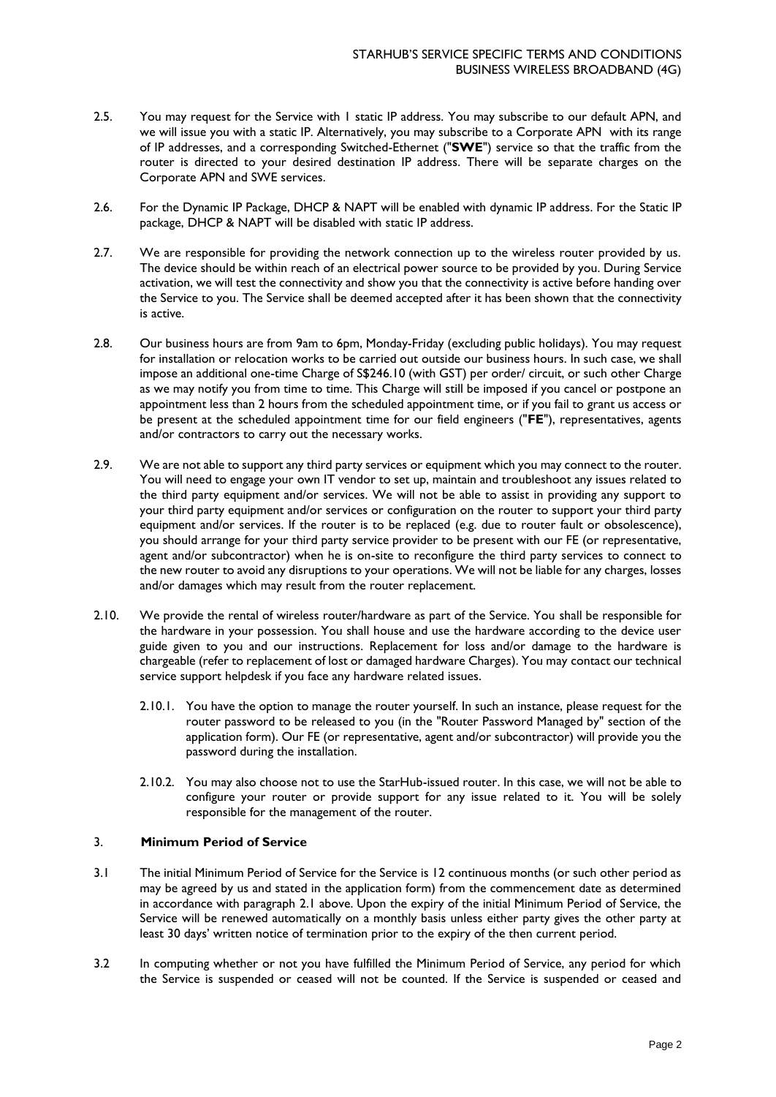- 2.5. You may request for the Service with 1 static IP address. You may subscribe to our default APN, and we will issue you with a static IP. Alternatively, you may subscribe to a Corporate APN with its range of IP addresses, and a corresponding Switched-Ethernet ("**SWE**") service so that the traffic from the router is directed to your desired destination IP address. There will be separate charges on the Corporate APN and SWE services.
- 2.6. For the Dynamic IP Package, DHCP & NAPT will be enabled with dynamic IP address. For the Static IP package, DHCP & NAPT will be disabled with static IP address.
- 2.7. We are responsible for providing the network connection up to the wireless router provided by us. The device should be within reach of an electrical power source to be provided by you. During Service activation, we will test the connectivity and show you that the connectivity is active before handing over the Service to you. The Service shall be deemed accepted after it has been shown that the connectivity is active.
- 2.8. Our business hours are from 9am to 6pm, Monday-Friday (excluding public holidays). You may request for installation or relocation works to be carried out outside our business hours. In such case, we shall impose an additional one-time Charge of S\$246.10 (with GST) per order/ circuit, or such other Charge as we may notify you from time to time. This Charge will still be imposed if you cancel or postpone an appointment less than 2 hours from the scheduled appointment time, or if you fail to grant us access or be present at the scheduled appointment time for our field engineers ("**FE**"), representatives, agents and/or contractors to carry out the necessary works.
- 2.9. We are not able to support any third party services or equipment which you may connect to the router. You will need to engage your own IT vendor to set up, maintain and troubleshoot any issues related to the third party equipment and/or services. We will not be able to assist in providing any support to your third party equipment and/or services or configuration on the router to support your third party equipment and/or services. If the router is to be replaced (e.g. due to router fault or obsolescence), you should arrange for your third party service provider to be present with our FE (or representative, agent and/or subcontractor) when he is on-site to reconfigure the third party services to connect to the new router to avoid any disruptions to your operations. We will not be liable for any charges, losses and/or damages which may result from the router replacement.
- 2.10. We provide the rental of wireless router/hardware as part of the Service. You shall be responsible for the hardware in your possession. You shall house and use the hardware according to the device user guide given to you and our instructions. Replacement for loss and/or damage to the hardware is chargeable (refer to replacement of lost or damaged hardware Charges). You may contact our technical service support helpdesk if you face any hardware related issues.
	- 2.10.1. You have the option to manage the router yourself. In such an instance, please request for the router password to be released to you (in the "Router Password Managed by" section of the application form). Our FE (or representative, agent and/or subcontractor) will provide you the password during the installation.
	- 2.10.2. You may also choose not to use the StarHub-issued router. In this case, we will not be able to configure your router or provide support for any issue related to it. You will be solely responsible for the management of the router.

### 3. **Minimum Period of Service**

- 3.1 The initial Minimum Period of Service for the Service is 12 continuous months (or such other period as may be agreed by us and stated in the application form) from the commencement date as determined in accordance with paragraph 2.1 above. Upon the expiry of the initial Minimum Period of Service, the Service will be renewed automatically on a monthly basis unless either party gives the other party at least 30 days' written notice of termination prior to the expiry of the then current period.
- 3.2 In computing whether or not you have fulfilled the Minimum Period of Service, any period for which the Service is suspended or ceased will not be counted. If the Service is suspended or ceased and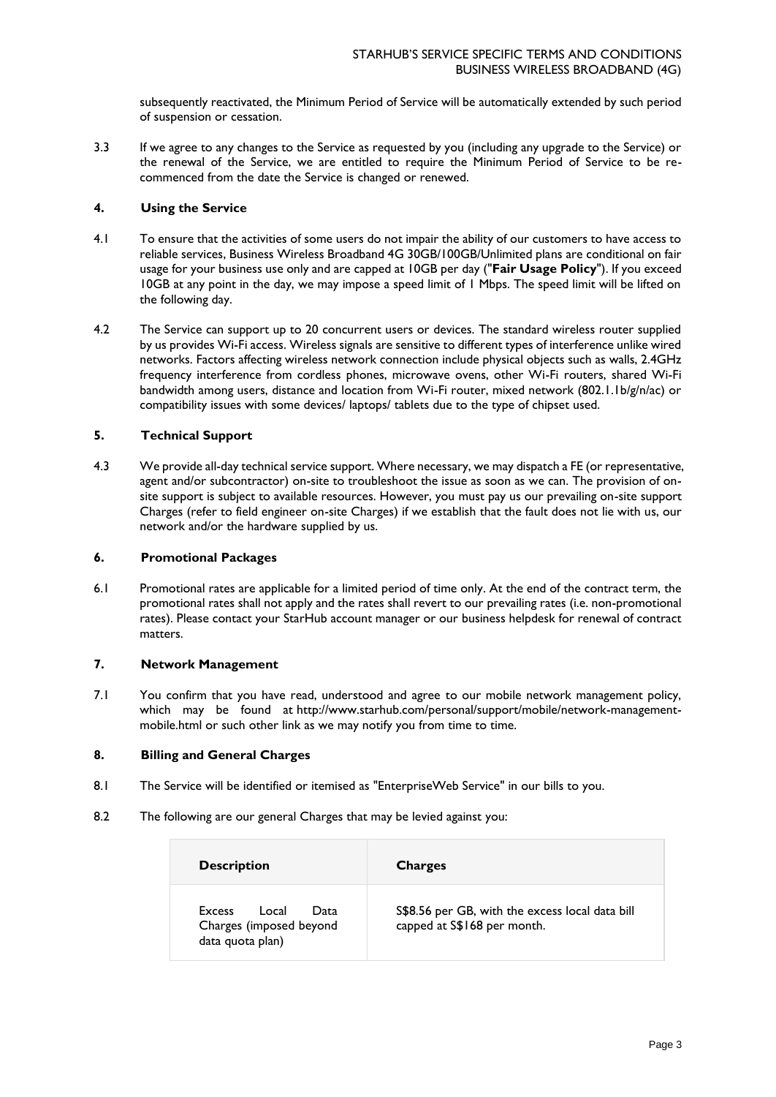subsequently reactivated, the Minimum Period of Service will be automatically extended by such period of suspension or cessation.

3.3 If we agree to any changes to the Service as requested by you (including any upgrade to the Service) or the renewal of the Service, we are entitled to require the Minimum Period of Service to be recommenced from the date the Service is changed or renewed.

### **4. Using the Service**

- 4.1 To ensure that the activities of some users do not impair the ability of our customers to have access to reliable services, Business Wireless Broadband 4G 30GB/100GB/Unlimited plans are conditional on fair usage for your business use only and are capped at 10GB per day ("**Fair Usage Policy**"). If you exceed 10GB at any point in the day, we may impose a speed limit of 1 Mbps. The speed limit will be lifted on the following day.
- 4.2 The Service can support up to 20 concurrent users or devices. The standard wireless router supplied by us provides Wi-Fi access. Wireless signals are sensitive to different types of interference unlike wired networks. Factors affecting wireless network connection include physical objects such as walls, 2.4GHz frequency interference from cordless phones, microwave ovens, other Wi-Fi routers, shared Wi-Fi bandwidth among users, distance and location from Wi-Fi router, mixed network (802.1.1b/g/n/ac) or compatibility issues with some devices/ laptops/ tablets due to the type of chipset used.

## **5. Technical Support**

4.3 We provide all-day technical service support. Where necessary, we may dispatch a FE (or representative, agent and/or subcontractor) on-site to troubleshoot the issue as soon as we can. The provision of onsite support is subject to available resources. However, you must pay us our prevailing on-site support Charges (refer to field engineer on-site Charges) if we establish that the fault does not lie with us, our network and/or the hardware supplied by us.

### **6. Promotional Packages**

6.1 Promotional rates are applicable for a limited period of time only. At the end of the contract term, the promotional rates shall not apply and the rates shall revert to our prevailing rates (i.e. non-promotional rates). Please contact your StarHub account manager or our business helpdesk for renewal of contract matters.

# **7. Network Management**

7.1 You confirm that you have read, understood and agree to our mobile network management policy, which may be found at [http://www.starhub.com/personal/support/mobile/network-management](https://www.starhub.com/personal/support/services-and-plans/mobile-network/management.html)[mobile.html](https://www.starhub.com/personal/support/services-and-plans/mobile-network/management.html) or such other link as we may notify you from time to time.

### **8. Billing and General Charges**

- 8.1 The Service will be identified or itemised as "EnterpriseWeb Service" in our bills to you.
- 8.2 The following are our general Charges that may be levied against you:

| <b>Description</b>                                                            | <b>Charges</b>                                                                 |
|-------------------------------------------------------------------------------|--------------------------------------------------------------------------------|
| Data<br><b>Excess</b><br>Local<br>Charges (imposed beyond<br>data quota plan) | S\$8.56 per GB, with the excess local data bill<br>capped at S\$168 per month. |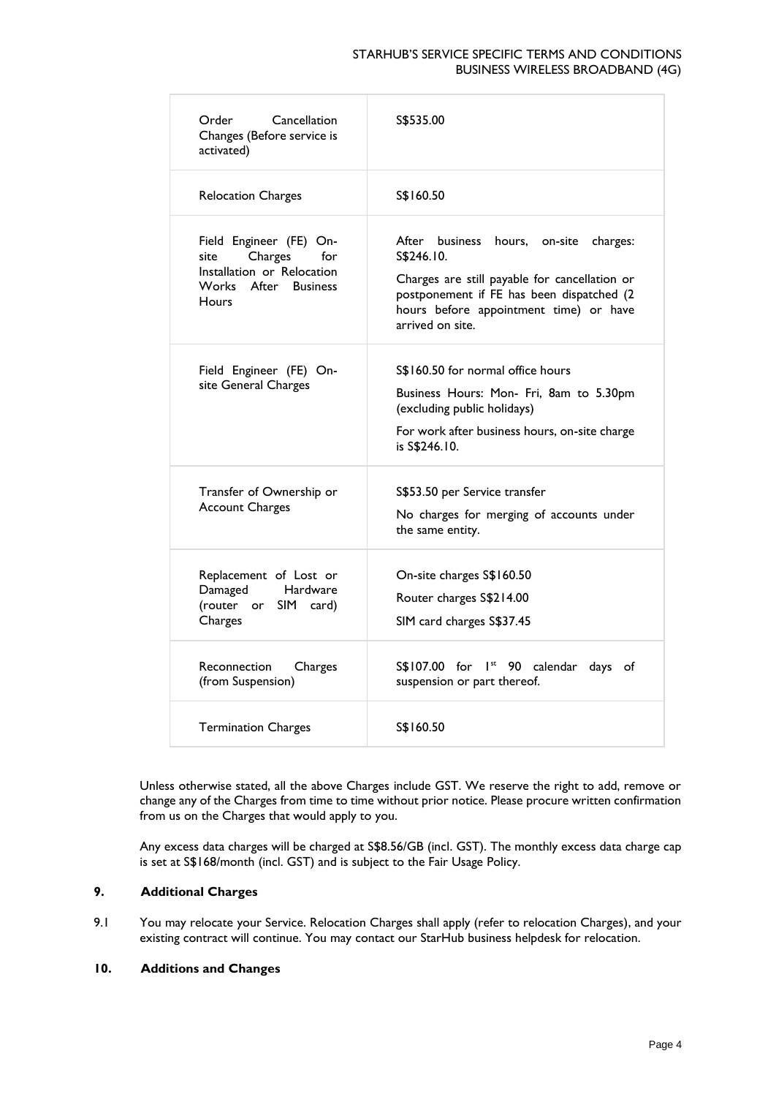### STARHUB'S SERVICE SPECIFIC TERMS AND CONDITIONS BUSINESS WIRELESS BROADBAND (4G)

| Cancellation<br>Order<br>Changes (Before service is<br>activated)                                                       | S\$535.00                                                                                                                                                                                                           |
|-------------------------------------------------------------------------------------------------------------------------|---------------------------------------------------------------------------------------------------------------------------------------------------------------------------------------------------------------------|
| <b>Relocation Charges</b>                                                                                               | S\$160.50                                                                                                                                                                                                           |
| Field Engineer (FE) On-<br>Charges<br>for<br>site<br>Installation or Relocation<br>Works After Business<br><b>Hours</b> | After business hours, on-site<br>charges:<br>S\$246.10.<br>Charges are still payable for cancellation or<br>postponement if FE has been dispatched (2<br>hours before appointment time) or have<br>arrived on site. |
| Field Engineer (FE) On-<br>site General Charges                                                                         | S\$160.50 for normal office hours<br>Business Hours: Mon- Fri, 8am to 5.30pm<br>(excluding public holidays)<br>For work after business hours, on-site charge<br>is S\$246.10.                                       |
| Transfer of Ownership or<br><b>Account Charges</b>                                                                      | S\$53.50 per Service transfer<br>No charges for merging of accounts under<br>the same entity.                                                                                                                       |
| Replacement of Lost or<br>Damaged<br>Hardware<br>(router or SIM card)<br>Charges                                        | On-site charges S\$160.50<br>Router charges S\$214.00<br>SIM card charges S\$37.45                                                                                                                                  |
| Reconnection<br>Charges<br>(from Suspension)                                                                            | S\$107.00 for 1st 90 calendar days of<br>suspension or part thereof.                                                                                                                                                |
| <b>Termination Charges</b>                                                                                              | S\$160.50                                                                                                                                                                                                           |

Unless otherwise stated, all the above Charges include GST. We reserve the right to add, remove or change any of the Charges from time to time without prior notice. Please procure written confirmation from us on the Charges that would apply to you.

Any excess data charges will be charged at S\$8.56/GB (incl. GST). The monthly excess data charge cap is set at S\$168/month (incl. GST) and is subject to the Fair Usage Policy.

# **9. Additional Charges**

9.1 You may relocate your Service. Relocation Charges shall apply (refer to relocation Charges), and your existing contract will continue. You may contact our StarHub business helpdesk for relocation.

### **10. Additions and Changes**